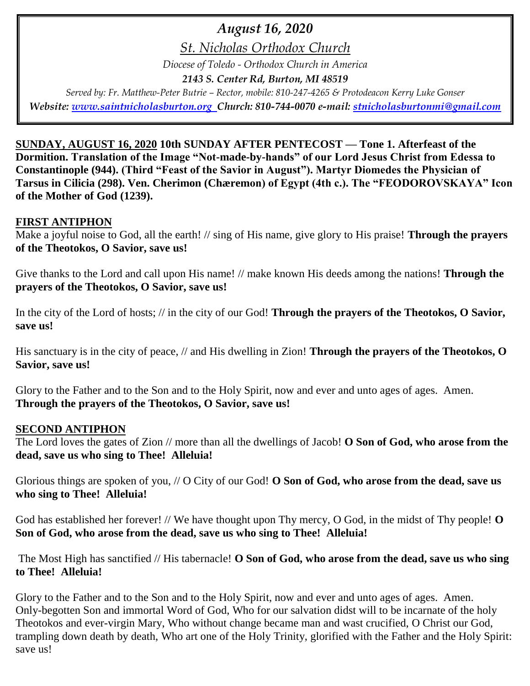# *August 16, 2020*

*St. Nicholas Orthodox Church*

*Diocese of Toledo - Orthodox Church in America*

*2143 S. Center Rd, Burton, MI 48519*

*Served by: Fr. Matthew-Peter Butrie – Rector, mobile: 810-247-4265 & Protodeacon Kerry Luke Gonser Website: [www.saintnicholasburton.org](http://www.saintnicholasburton.org/) Church: 810-744-0070 e-mail: [stnicholasburtonmi@gmail.com](mailto:stnicholasburtonmi@gmail.com)*

**SUNDAY, AUGUST 16, 2020 10th SUNDAY AFTER PENTECOST — Tone 1. Afterfeast of the Dormition. Translation of the Image "Not-made-by-hands" of our Lord Jesus Christ from Edessa to Constantinople (944). (Third "Feast of the Savior in August"). Martyr Diomedes the Physician of Tarsus in Cilicia (298). Ven. Cherimon (Chæremon) of Egypt (4th c.). The "FEODOROVSKAYA" Icon of the Mother of God (1239).**

## **FIRST ANTIPHON**

Make a joyful noise to God, all the earth! // sing of His name, give glory to His praise! **Through the prayers of the Theotokos, O Savior, save us!**

Give thanks to the Lord and call upon His name! // make known His deeds among the nations! **Through the prayers of the Theotokos, O Savior, save us!**

In the city of the Lord of hosts; // in the city of our God! **Through the prayers of the Theotokos, O Savior, save us!**

His sanctuary is in the city of peace, // and His dwelling in Zion! **Through the prayers of the Theotokos, O Savior, save us!**

Glory to the Father and to the Son and to the Holy Spirit, now and ever and unto ages of ages. Amen. **Through the prayers of the Theotokos, O Savior, save us!**

#### **SECOND ANTIPHON**

The Lord loves the gates of Zion // more than all the dwellings of Jacob! **O Son of God, who arose from the dead, save us who sing to Thee! Alleluia!**

Glorious things are spoken of you, // O City of our God! **O Son of God, who arose from the dead, save us who sing to Thee! Alleluia!**

God has established her forever! // We have thought upon Thy mercy, O God, in the midst of Thy people! **O Son of God, who arose from the dead, save us who sing to Thee! Alleluia!**

The Most High has sanctified // His tabernacle! **O Son of God, who arose from the dead, save us who sing to Thee! Alleluia!**

Glory to the Father and to the Son and to the Holy Spirit, now and ever and unto ages of ages. Amen. Only-begotten Son and immortal Word of God, Who for our salvation didst will to be incarnate of the holy Theotokos and ever-virgin Mary, Who without change became man and wast crucified, O Christ our God, trampling down death by death, Who art one of the Holy Trinity, glorified with the Father and the Holy Spirit: save us!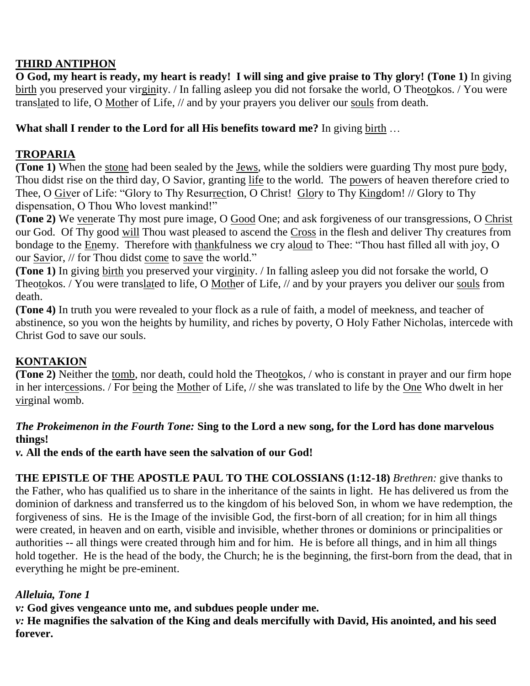## **THIRD ANTIPHON**

**O God, my heart is ready, my heart is ready! I will sing and give praise to Thy glory! (Tone 1)** In giving birth you preserved your virginity. / In falling asleep you did not forsake the world, O Theotokos. / You were translated to life, O Mother of Life, // and by your prayers you deliver our souls from death.

**What shall I render to the Lord for all His benefits toward me?** In giving birth …

## **TROPARIA**

**(Tone 1)** When the stone had been sealed by the Jews, while the soldiers were guarding Thy most pure body, Thou didst rise on the third day, O Savior, granting life to the world. The powers of heaven therefore cried to Thee, O Giver of Life: "Glory to Thy Resurrection, O Christ! Glory to Thy Kingdom! // Glory to Thy dispensation, O Thou Who lovest mankind!"

(Tone 2) We venerate Thy most pure image, O Good One; and ask forgiveness of our transgressions, O Christ our God. Of Thy good will Thou wast pleased to ascend the Cross in the flesh and deliver Thy creatures from bondage to the Enemy. Therefore with thankfulness we cry aloud to Thee: "Thou hast filled all with joy, O our Savior, // for Thou didst come to save the world."

**(Tone 1)** In giving birth you preserved your virginity. / In falling asleep you did not forsake the world, O Theotokos. / You were translated to life, O Mother of Life, // and by your prayers you deliver our souls from death.

**(Tone 4)** In truth you were revealed to your flock as a rule of faith, a model of meekness, and teacher of abstinence, so you won the heights by humility, and riches by poverty, O Holy Father Nicholas, intercede with Christ God to save our souls.

## **KONTAKION**

(Tone 2) Neither the tomb, nor death, could hold the Theotokos, / who is constant in prayer and our firm hope in her intercessions. / For being the Mother of Life, // she was translated to life by the One Who dwelt in her virginal womb.

#### *The Prokeimenon in the Fourth Tone:* **Sing to the Lord a new song, for the Lord has done marvelous things!**

*v.* **All the ends of the earth have seen the salvation of our God!**

**THE EPISTLE OF THE APOSTLE PAUL TO THE COLOSSIANS (1:12-18)** *Brethren:* give thanks to the Father, who has qualified us to share in the inheritance of the saints in light. He has delivered us from the dominion of darkness and transferred us to the kingdom of his beloved Son, in whom we have redemption, the forgiveness of sins. He is the Image of the invisible God, the first-born of all creation; for in him all things were created, in heaven and on earth, visible and invisible, whether thrones or dominions or principalities or authorities -- all things were created through him and for him. He is before all things, and in him all things hold together. He is the head of the body, the Church; he is the beginning, the first-born from the dead, that in everything he might be pre-eminent.

## *Alleluia, Tone 1*

*v:* **God gives vengeance unto me, and subdues people under me.**

*v:* **He magnifies the salvation of the King and deals mercifully with David, His anointed, and his seed forever.**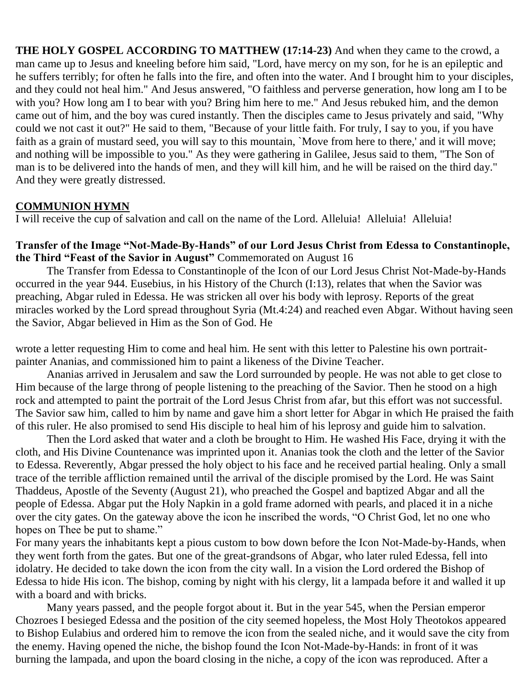**THE HOLY GOSPEL ACCORDING TO MATTHEW (17:14-23)** And when they came to the crowd, a man came up to Jesus and kneeling before him said, "Lord, have mercy on my son, for he is an epileptic and he suffers terribly; for often he falls into the fire, and often into the water. And I brought him to your disciples, and they could not heal him." And Jesus answered, "O faithless and perverse generation, how long am I to be with you? How long am I to bear with you? Bring him here to me." And Jesus rebuked him, and the demon came out of him, and the boy was cured instantly. Then the disciples came to Jesus privately and said, "Why could we not cast it out?" He said to them, "Because of your little faith. For truly, I say to you, if you have faith as a grain of mustard seed, you will say to this mountain, `Move from here to there,' and it will move; and nothing will be impossible to you." As they were gathering in Galilee, Jesus said to them, "The Son of man is to be delivered into the hands of men, and they will kill him, and he will be raised on the third day." And they were greatly distressed.

#### **COMMUNION HYMN**

I will receive the cup of salvation and call on the name of the Lord. Alleluia! Alleluia! Alleluia!

#### **Transfer of the Image "Not-Made-By-Hands" of our Lord Jesus Christ from Edessa to Constantinople, the Third "Feast of the Savior in August"** Commemorated on August 16

The Transfer from Edessa to Constantinople of the Icon of our Lord Jesus Christ Not-Made-by-Hands occurred in the year 944. Eusebius, in his History of the Church (I:13), relates that when the Savior was preaching, Abgar ruled in Edessa. He was stricken all over his body with leprosy. Reports of the great miracles worked by the Lord spread throughout Syria (Mt.4:24) and reached even Abgar. Without having seen the Savior, Abgar believed in Him as the Son of God. He

wrote a letter requesting Him to come and heal him. He sent with this letter to Palestine his own portraitpainter Ananias, and commissioned him to paint a likeness of the Divine Teacher.

Ananias arrived in Jerusalem and saw the Lord surrounded by people. He was not able to get close to Him because of the large throng of people listening to the preaching of the Savior. Then he stood on a high rock and attempted to paint the portrait of the Lord Jesus Christ from afar, but this effort was not successful. The Savior saw him, called to him by name and gave him a short letter for Abgar in which He praised the faith of this ruler. He also promised to send His disciple to heal him of his leprosy and guide him to salvation.

Then the Lord asked that water and a cloth be brought to Him. He washed His Face, drying it with the cloth, and His Divine Countenance was imprinted upon it. Ananias took the cloth and the letter of the Savior to Edessa. Reverently, Abgar pressed the holy object to his face and he received partial healing. Only a small trace of the terrible affliction remained until the arrival of the disciple promised by the Lord. He was Saint Thaddeus, Apostle of the Seventy (August 21), who preached the Gospel and baptized Abgar and all the people of Edessa. Abgar put the Holy Napkin in a gold frame adorned with pearls, and placed it in a niche over the city gates. On the gateway above the icon he inscribed the words, "O Christ God, let no one who hopes on Thee be put to shame."

For many years the inhabitants kept a pious custom to bow down before the Icon Not-Made-by-Hands, when they went forth from the gates. But one of the great-grandsons of Abgar, who later ruled Edessa, fell into idolatry. He decided to take down the icon from the city wall. In a vision the Lord ordered the Bishop of Edessa to hide His icon. The bishop, coming by night with his clergy, lit a lampada before it and walled it up with a board and with bricks.

Many years passed, and the people forgot about it. But in the year 545, when the Persian emperor Chozroes I besieged Edessa and the position of the city seemed hopeless, the Most Holy Theotokos appeared to Bishop Eulabius and ordered him to remove the icon from the sealed niche, and it would save the city from the enemy. Having opened the niche, the bishop found the Icon Not-Made-by-Hands: in front of it was burning the lampada, and upon the board closing in the niche, a copy of the icon was reproduced. After a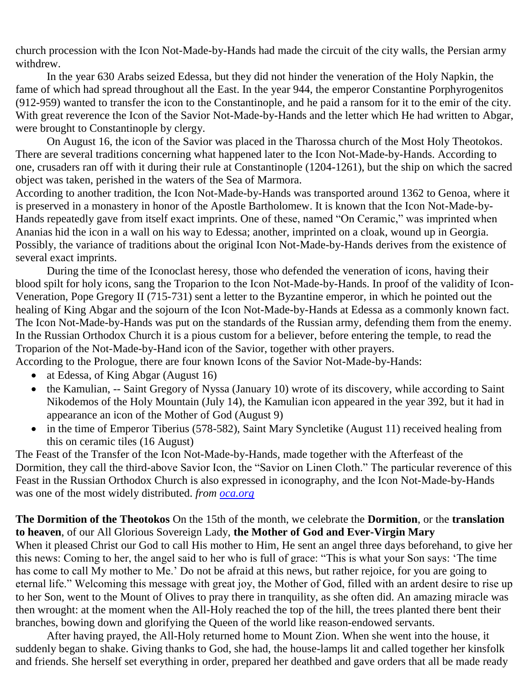church procession with the Icon Not-Made-by-Hands had made the circuit of the city walls, the Persian army withdrew.

In the year 630 Arabs seized Edessa, but they did not hinder the veneration of the Holy Napkin, the fame of which had spread throughout all the East. In the year 944, the emperor Constantine Porphyrogenitos (912-959) wanted to transfer the icon to the Constantinople, and he paid a ransom for it to the emir of the city. With great reverence the Icon of the Savior Not-Made-by-Hands and the letter which He had written to Abgar, were brought to Constantinople by clergy.

On August 16, the icon of the Savior was placed in the Tharossa church of the Most Holy Theotokos. There are several traditions concerning what happened later to the Icon Not-Made-by-Hands. According to one, crusaders ran off with it during their rule at Constantinople (1204-1261), but the ship on which the sacred object was taken, perished in the waters of the Sea of Marmora.

According to another tradition, the Icon Not-Made-by-Hands was transported around 1362 to Genoa, where it is preserved in a monastery in honor of the Apostle Bartholomew. It is known that the Icon Not-Made-by-Hands repeatedly gave from itself exact imprints. One of these, named "On Ceramic," was imprinted when Ananias hid the icon in a wall on his way to Edessa; another, imprinted on a cloak, wound up in Georgia. Possibly, the variance of traditions about the original Icon Not-Made-by-Hands derives from the existence of several exact imprints.

During the time of the Iconoclast heresy, those who defended the veneration of icons, having their blood spilt for holy icons, sang the Troparion to the Icon Not-Made-by-Hands. In proof of the validity of Icon-Veneration, Pope Gregory II (715-731) sent a letter to the Byzantine emperor, in which he pointed out the healing of King Abgar and the sojourn of the Icon Not-Made-by-Hands at Edessa as a commonly known fact. The Icon Not-Made-by-Hands was put on the standards of the Russian army, defending them from the enemy. In the Russian Orthodox Church it is a pious custom for a believer, before entering the temple, to read the Troparion of the Not-Made-by-Hand icon of the Savior, together with other prayers.

According to the Prologue, there are four known Icons of the Savior Not-Made-by-Hands:

- at Edessa, of King Abgar (August 16)
- the Kamulian, -- Saint Gregory of Nyssa (January 10) wrote of its discovery, while according to Saint Nikodemos of the Holy Mountain (July 14), the Kamulian icon appeared in the year 392, but it had in appearance an icon of the Mother of God (August 9)
- in the time of Emperor Tiberius (578-582), Saint Mary Syncletike (August 11) received healing from this on ceramic tiles (16 August)

The Feast of the Transfer of the Icon Not-Made-by-Hands, made together with the Afterfeast of the Dormition, they call the third-above Savior Icon, the "Savior on Linen Cloth." The particular reverence of this Feast in the Russian Orthodox Church is also expressed in iconography, and the Icon Not-Made-by-Hands was one of the most widely distributed. *from [oca.org](https://www.oca.org/saints/lives/2020/08/16/102304-translation-of-the-image-not-made-by-hands-of-our-lord-jesus-chr)*

**The Dormition of the Theotokos** On the 15th of the month, we celebrate the **Dormition**, or the **translation to heaven**, of our All Glorious Sovereign Lady, **the Mother of God and Ever-Virgin Mary** When it pleased Christ our God to call His mother to Him, He sent an angel three days beforehand, to give her this news: Coming to her, the angel said to her who is full of grace: "This is what your Son says: 'The time has come to call My mother to Me.' Do not be afraid at this news, but rather rejoice, for you are going to eternal life." Welcoming this message with great joy, the Mother of God, filled with an ardent desire to rise up to her Son, went to the Mount of Olives to pray there in tranquility, as she often did. An amazing miracle was then wrought: at the moment when the All-Holy reached the top of the hill, the trees planted there bent their branches, bowing down and glorifying the Queen of the world like reason-endowed servants.

After having prayed, the All-Holy returned home to Mount Zion. When she went into the house, it suddenly began to shake. Giving thanks to God, she had, the house-lamps lit and called together her kinsfolk and friends. She herself set everything in order, prepared her deathbed and gave orders that all be made ready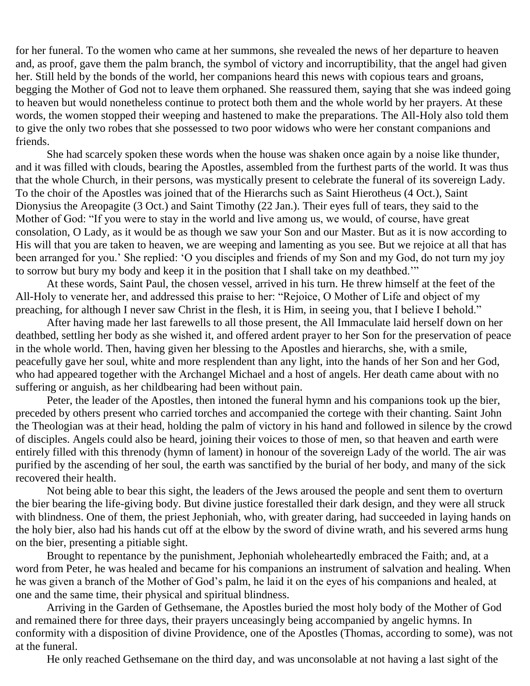for her funeral. To the women who came at her summons, she revealed the news of her departure to heaven and, as proof, gave them the palm branch, the symbol of victory and incorruptibility, that the angel had given her. Still held by the bonds of the world, her companions heard this news with copious tears and groans, begging the Mother of God not to leave them orphaned. She reassured them, saying that she was indeed going to heaven but would nonetheless continue to protect both them and the whole world by her prayers. At these words, the women stopped their weeping and hastened to make the preparations. The All-Holy also told them to give the only two robes that she possessed to two poor widows who were her constant companions and friends.

She had scarcely spoken these words when the house was shaken once again by a noise like thunder, and it was filled with clouds, bearing the Apostles, assembled from the furthest parts of the world. It was thus that the whole Church, in their persons, was mystically present to celebrate the funeral of its sovereign Lady. To the choir of the Apostles was joined that of the Hierarchs such as Saint Hierotheus (4 Oct.), Saint Dionysius the Areopagite (3 Oct.) and Saint Timothy (22 Jan.). Their eyes full of tears, they said to the Mother of God: "If you were to stay in the world and live among us, we would, of course, have great consolation, O Lady, as it would be as though we saw your Son and our Master. But as it is now according to His will that you are taken to heaven, we are weeping and lamenting as you see. But we rejoice at all that has been arranged for you.' She replied: 'O you disciples and friends of my Son and my God, do not turn my joy to sorrow but bury my body and keep it in the position that I shall take on my deathbed.'"

At these words, Saint Paul, the chosen vessel, arrived in his turn. He threw himself at the feet of the All-Holy to venerate her, and addressed this praise to her: "Rejoice, O Mother of Life and object of my preaching, for although I never saw Christ in the flesh, it is Him, in seeing you, that I believe I behold."

After having made her last farewells to all those present, the All Immaculate laid herself down on her deathbed, settling her body as she wished it, and offered ardent prayer to her Son for the preservation of peace in the whole world. Then, having given her blessing to the Apostles and hierarchs, she, with a smile, peacefully gave her soul, white and more resplendent than any light, into the hands of her Son and her God, who had appeared together with the Archangel Michael and a host of angels. Her death came about with no suffering or anguish, as her childbearing had been without pain.

Peter, the leader of the Apostles, then intoned the funeral hymn and his companions took up the bier, preceded by others present who carried torches and accompanied the cortege with their chanting. Saint John the Theologian was at their head, holding the palm of victory in his hand and followed in silence by the crowd of disciples. Angels could also be heard, joining their voices to those of men, so that heaven and earth were entirely filled with this threnody (hymn of lament) in honour of the sovereign Lady of the world. The air was purified by the ascending of her soul, the earth was sanctified by the burial of her body, and many of the sick recovered their health.

Not being able to bear this sight, the leaders of the Jews aroused the people and sent them to overturn the bier bearing the life-giving body. But divine justice forestalled their dark design, and they were all struck with blindness. One of them, the priest Jephoniah, who, with greater daring, had succeeded in laying hands on the holy bier, also had his hands cut off at the elbow by the sword of divine wrath, and his severed arms hung on the bier, presenting a pitiable sight.

Brought to repentance by the punishment, Jephoniah wholeheartedly embraced the Faith; and, at a word from Peter, he was healed and became for his companions an instrument of salvation and healing. When he was given a branch of the Mother of God's palm, he laid it on the eyes of his companions and healed, at one and the same time, their physical and spiritual blindness.

Arriving in the Garden of Gethsemane, the Apostles buried the most holy body of the Mother of God and remained there for three days, their prayers unceasingly being accompanied by angelic hymns. In conformity with a disposition of divine Providence, one of the Apostles (Thomas, according to some), was not at the funeral.

He only reached Gethsemane on the third day, and was unconsolable at not having a last sight of the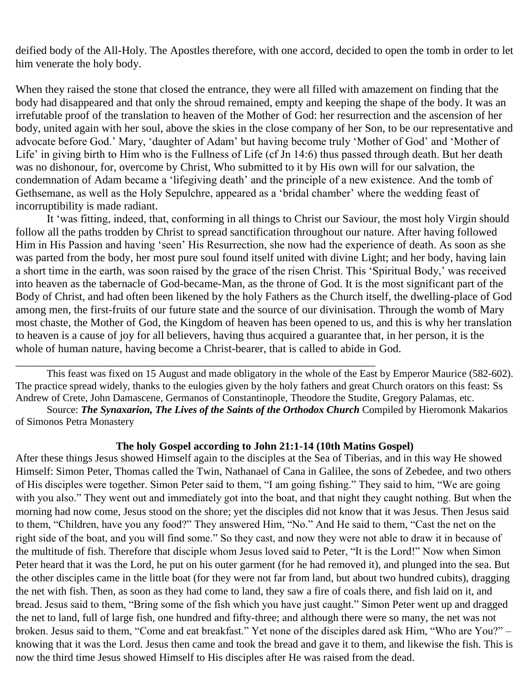deified body of the All-Holy. The Apostles therefore, with one accord, decided to open the tomb in order to let him venerate the holy body.

When they raised the stone that closed the entrance, they were all filled with amazement on finding that the body had disappeared and that only the shroud remained, empty and keeping the shape of the body. It was an irrefutable proof of the translation to heaven of the Mother of God: her resurrection and the ascension of her body, united again with her soul, above the skies in the close company of her Son, to be our representative and advocate before God.' Mary, 'daughter of Adam' but having become truly 'Mother of God' and 'Mother of Life' in giving birth to Him who is the Fullness of Life (cf Jn 14:6) thus passed through death. But her death was no dishonour, for, overcome by Christ, Who submitted to it by His own will for our salvation, the condemnation of Adam became a 'lifegiving death' and the principle of a new existence. And the tomb of Gethsemane, as well as the Holy Sepulchre, appeared as a 'bridal chamber' where the wedding feast of incorruptibility is made radiant.

It 'was fitting, indeed, that, conforming in all things to Christ our Saviour, the most holy Virgin should follow all the paths trodden by Christ to spread sanctification throughout our nature. After having followed Him in His Passion and having 'seen' His Resurrection, she now had the experience of death. As soon as she was parted from the body, her most pure soul found itself united with divine Light; and her body, having lain a short time in the earth, was soon raised by the grace of the risen Christ. This 'Spiritual Body,' was received into heaven as the tabernacle of God-became-Man, as the throne of God. It is the most significant part of the Body of Christ, and had often been likened by the holy Fathers as the Church itself, the dwelling-place of God among men, the first-fruits of our future state and the source of our divinisation. Through the womb of Mary most chaste, the Mother of God, the Kingdom of heaven has been opened to us, and this is why her translation to heaven is a cause of joy for all believers, having thus acquired a guarantee that, in her person, it is the whole of human nature, having become a Christ-bearer, that is called to abide in God.

This feast was fixed on 15 August and made obligatory in the whole of the East by Emperor Maurice (582-602). The practice spread widely, thanks to the eulogies given by the holy fathers and great Church orators on this feast: Ss Andrew of Crete, John Damascene, Germanos of Constantinople, Theodore the Studite, Gregory Palamas, etc.

\_\_\_\_\_\_\_\_\_\_\_\_\_\_\_\_\_\_\_\_\_\_\_\_\_\_\_\_\_\_\_\_\_\_\_\_\_\_\_\_\_\_\_\_\_\_\_\_\_\_\_\_\_\_\_\_\_\_\_\_\_\_\_\_

Source: *The Synaxarion, The Lives of the Saints of the Orthodox Church Compiled by Hieromonk Makarios* of Simonos Petra Monastery

#### **The holy Gospel according to John 21:1-14 (10th Matins Gospel)**

After these things Jesus showed Himself again to the disciples at the Sea of Tiberias, and in this way He showed Himself: Simon Peter, Thomas called the Twin, Nathanael of Cana in Galilee, the sons of Zebedee, and two others of His disciples were together. Simon Peter said to them, "I am going fishing." They said to him, "We are going with you also." They went out and immediately got into the boat, and that night they caught nothing. But when the morning had now come, Jesus stood on the shore; yet the disciples did not know that it was Jesus. Then Jesus said to them, "Children, have you any food?" They answered Him, "No." And He said to them, "Cast the net on the right side of the boat, and you will find some." So they cast, and now they were not able to draw it in because of the multitude of fish. Therefore that disciple whom Jesus loved said to Peter, "It is the Lord!" Now when Simon Peter heard that it was the Lord, he put on his outer garment (for he had removed it), and plunged into the sea. But the other disciples came in the little boat (for they were not far from land, but about two hundred cubits), dragging the net with fish. Then, as soon as they had come to land, they saw a fire of coals there, and fish laid on it, and bread. Jesus said to them, "Bring some of the fish which you have just caught." Simon Peter went up and dragged the net to land, full of large fish, one hundred and fifty-three; and although there were so many, the net was not broken. Jesus said to them, "Come and eat breakfast." Yet none of the disciples dared ask Him, "Who are You?" – knowing that it was the Lord. Jesus then came and took the bread and gave it to them, and likewise the fish. This is now the third time Jesus showed Himself to His disciples after He was raised from the dead.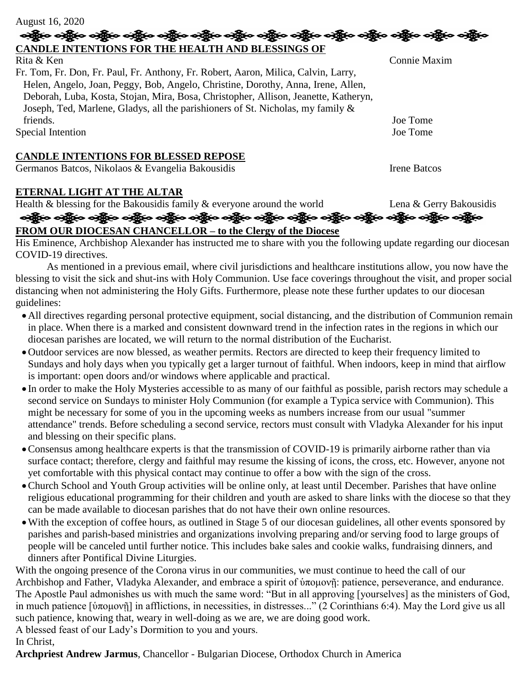#### લક્ષ્યું અક્ષ્યું અક્ષ્યું અક્ષ્યું અને અક્ષ્ય અક્ષ્ય અક્ષ્ય અક્ષ્ય અને અને અક્ષ્ય અક્ષ્ય અને અક્ષ્ય **CANDLE INTENTIONS FOR THE HEALTH AND BLESSINGS OF**

Fr. Tom, Fr. Don, Fr. Paul, Fr. Anthony, Fr. Robert, Aaron, Milica, Calvin, Larry, Helen, Angelo, Joan, Peggy, Bob, Angelo, Christine, Dorothy, Anna, Irene, Allen, Deborah, Luba, Kosta, Stojan, Mira, Bosa, Christopher, Allison, Jeanette, Katheryn, Joseph, Ted, Marlene, Gladys, all the parishioners of St. Nicholas, my family & friends. Joe Tome Special Intention Joe Tome

#### **CANDLE INTENTIONS FOR BLESSED REPOSE**

Germanos Batcos, Nikolaos & Evangelia Bakousidis Irene Batcos Irene Batcos

## **ETERNAL LIGHT AT THE ALTAR**

Health & blessing for the Bakousidis family & everyone around the world Lena & Gerry Bakousidis

**FROM OUR DIOCESAN CHANCELLOR – to the Clergy of the Diocese**

His Eminence, Archbishop Alexander has instructed me to share with you the following update regarding our diocesan COVID-19 directives.

As mentioned in a previous email, where civil jurisdictions and healthcare institutions allow, you now have the blessing to visit the sick and shut-ins with Holy Communion. Use face coverings throughout the visit, and proper social distancing when not administering the Holy Gifts. Furthermore, please note these further updates to our diocesan guidelines:

- All directives regarding personal protective equipment, social distancing, and the distribution of Communion remain in place. When there is a marked and consistent downward trend in the infection rates in the regions in which our diocesan parishes are located, we will return to the normal distribution of the Eucharist.
- Outdoor services are now blessed, as weather permits. Rectors are directed to keep their frequency limited to Sundays and holy days when you typically get a larger turnout of faithful. When indoors, keep in mind that airflow is important: open doors and/or windows where applicable and practical.
- In order to make the Holy Mysteries accessible to as many of our faithful as possible, parish rectors may schedule a second service on Sundays to minister Holy Communion (for example a Typica service with Communion). This might be necessary for some of you in the upcoming weeks as numbers increase from our usual "summer attendance" trends. Before scheduling a second service, rectors must consult with Vladyka Alexander for his input and blessing on their specific plans.
- Consensus among healthcare experts is that the transmission of COVID-19 is primarily airborne rather than via surface contact; therefore, clergy and faithful may resume the kissing of icons, the cross, etc. However, anyone not yet comfortable with this physical contact may continue to offer a bow with the sign of the cross.
- Church School and Youth Group activities will be online only, at least until December. Parishes that have online religious educational programming for their children and youth are asked to share links with the diocese so that they can be made available to diocesan parishes that do not have their own online resources.
- With the exception of coffee hours, as outlined in Stage 5 of our diocesan guidelines, all other events sponsored by parishes and parish-based ministries and organizations involving preparing and/or serving food to large groups of people will be canceled until further notice. This includes bake sales and cookie walks, fundraising dinners, and dinners after Pontifical Divine Liturgies.

With the ongoing presence of the Corona virus in our communities, we must continue to heed the call of our Archbishop and Father, Vladyka Alexander, and embrace a spirit of ὑπομονῇ: patience, perseverance, and endurance. The Apostle Paul admonishes us with much the same word: "But in all approving [yourselves] as the ministers of God, in much patience [ὑπομονῇ] in afflictions, in necessities, in distresses..." (2 Corinthians 6:4). May the Lord give us all such patience, knowing that, weary in well-doing as we are, we are doing good work.

A blessed feast of our Lady's Dormition to you and yours.

In Christ,

**Archpriest Andrew Jarmus**, Chancellor - Bulgarian Diocese, Orthodox Church in America

Rita & Ken Connie Maxim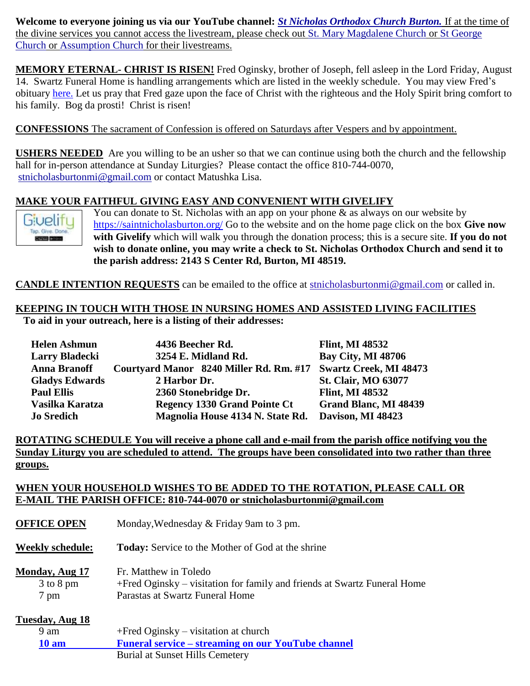**Welcome to everyone joining us via our YouTube channel:** *[St Nicholas Orthodox Church Burton.](https://www.youtube.com/channel/UC59tV-Re443z-GCoETAUvfA)* If at the time of the divine services you cannot access the livestream, please check out [St. Mary Magdalene Church](https://www.youtube.com/channel/UClHAqZrWkXdYELujbbIslHg) or [St George](https://www.youtube.com/channel/UCpLWfxMIJK4uQOV41ekE6Wg/videos?view=2&flow=grid)  [Church](https://www.youtube.com/channel/UCpLWfxMIJK4uQOV41ekE6Wg/videos?view=2&flow=grid) or [Assumption Church](https://www.facebook.com/AssumptionGrandBlanc/) for their livestreams.

**MEMORY ETERNAL- CHRIST IS RISEN!** Fred Oginsky, brother of Joseph, fell asleep in the Lord Friday, August 14. Swartz Funeral Home is handling arrangements which are listed in the weekly schedule. You may view Fred's obituary [here.](https://www.swartzfuneralhomeinc.com/obituary/fred-oginsky) Let us pray that Fred gaze upon the face of Christ with the righteous and the Holy Spirit bring comfort to his family. Bog da prosti! Christ is risen!

**CONFESSIONS** The sacrament of Confession is offered on Saturdays after Vespers and by appointment.

**USHERS NEEDED** Are you willing to be an usher so that we can continue using both the church and the fellowship hall for in-person attendance at Sunday Liturgies? Please contact the office 810-744-0070, [stnicholasburtonmi@gmail.com](mailto:stnicholasburtonmi@gmail.com) or contact Matushka Lisa.

#### **MAKE YOUR FAITHFUL GIVING EASY AND CONVENIENT WITH GIVELIFY**



You can donate to St. Nicholas with an app on your phone  $\&$  as always on our website by <https://saintnicholasburton.org/> Go to the website and on the home page click on the box **Give now with Givelify** which will walk you through the donation process; this is a secure site. **If you do not wish to donate online, you may write a check to St. Nicholas Orthodox Church and send it to the parish address: 2143 S Center Rd, Burton, MI 48519.**

**CANDLE INTENTION REQUESTS** can be emailed to the office at [stnicholasburtonmi@gmail.com](mailto:stnicholasburtonmi@gmail.com) or called in.

# **KEEPING IN TOUCH WITH THOSE IN NURSING HOMES AND ASSISTED LIVING FACILITIES**

**To aid in your outreach, here is a listing of their addresses:**

| <b>Helen Ashmun</b>   | 4436 Beecher Rd.                                               | <b>Flint, MI 48532</b>       |
|-----------------------|----------------------------------------------------------------|------------------------------|
| <b>Larry Bladecki</b> | 3254 E. Midland Rd.                                            | <b>Bay City, MI 48706</b>    |
| <b>Anna Branoff</b>   | Courtyard Manor 8240 Miller Rd. Rm. #17 Swartz Creek, MI 48473 |                              |
| <b>Gladys Edwards</b> | 2 Harbor Dr.                                                   | <b>St. Clair, MO 63077</b>   |
| <b>Paul Ellis</b>     | 2360 Stonebridge Dr.                                           | <b>Flint, MI 48532</b>       |
| Vasilka Karatza       | <b>Regency 1330 Grand Pointe Ct</b>                            | <b>Grand Blanc, MI 48439</b> |
| <b>Jo Sredich</b>     | Magnolia House 4134 N. State Rd.                               | Davison, MI 48423            |

**ROTATING SCHEDULE You will receive a phone call and e-mail from the parish office notifying you the Sunday Liturgy you are scheduled to attend. The groups have been consolidated into two rather than three groups.**

#### **WHEN YOUR HOUSEHOLD WISHES TO BE ADDED TO THE ROTATION, PLEASE CALL OR E-MAIL THE PARISH OFFICE: 810-744-0070 or [stnicholasburtonmi@gmail.com](mailto:stnicholasburtonmi@gmail.com)**

| <b>OFFICE OPEN</b>                      | Monday, Wednesday & Friday 9am to 3 pm.                                                                                              |  |
|-----------------------------------------|--------------------------------------------------------------------------------------------------------------------------------------|--|
| <b>Weekly schedule:</b>                 | <b>Today:</b> Service to the Mother of God at the shrine                                                                             |  |
| Monday, Aug 17<br>$3$ to $8$ pm<br>7 pm | Fr. Matthew in Toledo<br>+Fred Oginsky – visitation for family and friends at Swartz Funeral Home<br>Parastas at Swartz Funeral Home |  |
| Tuesday, Aug 18                         |                                                                                                                                      |  |
| 9 am                                    | +Fred Oginsky – visitation at church                                                                                                 |  |
| 10 <sub>am</sub>                        | <b>Funeral service – streaming on our YouTube channel</b>                                                                            |  |
|                                         | <b>Burial at Sunset Hills Cemetery</b>                                                                                               |  |